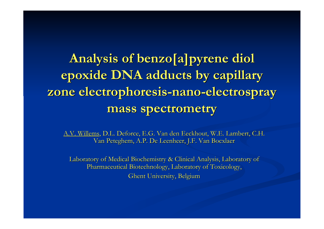**Analysis of benzo[a]pyrene diol epoxide DNA adducts by capillary zone electrophoresis zone electrophoresis-nano-electrospray electrospray mass spectrometry mass spectrometry**

A.V. Willems, D.L. Deforce, E.G. Van den Eeckhout, W.E. Lambert, C.H. Van Peteghem, A.P. De Leenheer, J.F. Van Bocxlaer

Laboratory of Medical Biochemistry & Clinical Analysis, Laboratory of Pharmaceutical Biotechnology, Laboratory of Toxicology, Ghent University, Belgium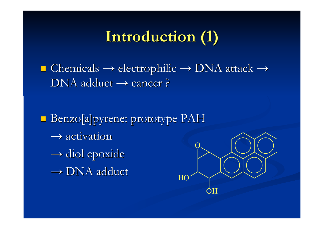# **Introduction (1) Introduction (1)**

 $\blacksquare$  Chemicals  $\rightarrow$  electrophilic  $\rightarrow$  DNA attack  $\rightarrow$  $\rm DNA$  adduct  $\rightarrow$  cancer ?

**Benzo[a]pyrene: prototype PAH**  $\rightarrow$  activation  $\rightarrow$  diol epoxide  $\rightarrow$  DNA adduct  $\rm O$ 

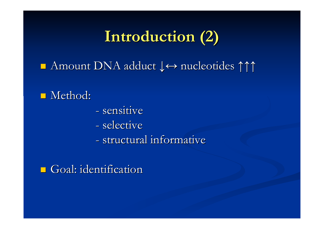# **Introduction Introduction (2)**

■ Amount DNA adduct  $\downarrow \leftrightarrow$  nucleotides  $\uparrow \uparrow \uparrow$ 

### $\blacksquare$  Method:

- sensitive
- selective
- structural informative

 $\Box$  Goal: identification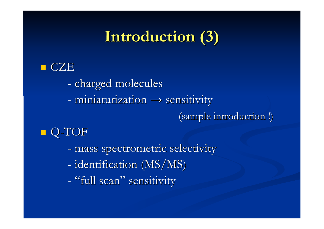# **Introduction (3) Introduction (3)**

#### **CZE**

- charged molecules
- miniaturization  $\rightarrow$  sensitivity

(sample introduction !)

## ■ Q-TOF

- mass spectrometric selectivity
- identification (MS/MS)
- "full scan" sensitivity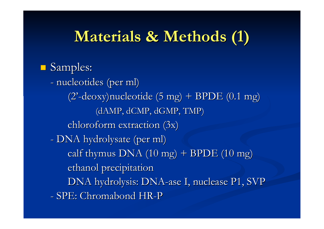# **Materials & Methods (1) Materials & Methods (1)**

## **Samples:**

- nucleotides (per ml) (2'-deoxy)nucleotide (5 mg) + BPDE (0.1 mg) (dAMP, dCMP, dGMP, TMP) chloroform extraction  $(3x)$ - DNA hydrolysate (per ml) calf thymus DNA  $(10 \text{ mg})$  + BPDE  $(10 \text{ mg})$ ethanol precipitation DNA hydrolysis: DNA-ase I, nuclease P1, SVP - SPE: Chromabond HR-P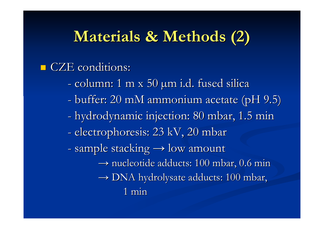# **Materials Materials & Methods Methods (2)**

#### CZE conditions:

- column: 1 m x 50 µm i.d. fused silica column: 1 m x 50 µm i.d. fused silica
- buffer: 20 mM ammonium acetate (pH 9.5)
- hydrodynamic injection: 80 mbar, 1.5 min
- electrophoresis: 23 kV, 20 mbar
- sample stacking  $\rightarrow$  low amount
	- $\rightarrow$  nucleotide adducts: 100 mbar, 0.6 min  $\rightarrow$  DNA hydrolysate adducts: 100 mbar,
		- 1 min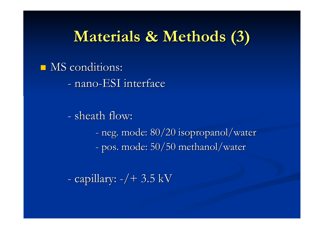## **Materials Materials & Methods Methods (3)**

 $\blacksquare$  MS conditions:

- nano-ESI interface

- sheath flow: -- neg. mode: 80/20 isopropanol/water pos. mode: 50/50 methanol/water pos. mode: 50/50 methanol/water

- capillary: -/+ 3.5 kV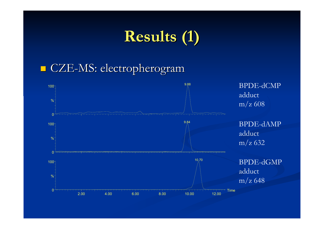# **Results Results (1)**

### $\blacksquare$  CZE-MS: electropherogram

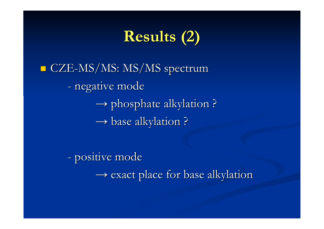# **Results Results (2)**

 $\blacksquare$ CZE-MS/MS: MS/MS spectrum - negative mode  $\rightarrow$  phosphate alkylation ?  $\rightarrow$  base alkylation ?

> - positive mode  $\rightarrow$  exact place for base alkylation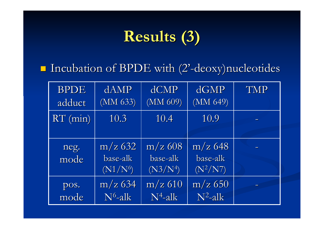# **Results Results (3)**

 $\blacksquare$  Incubation of BPDE with (2'-deoxy)nucleotides

| <b>BPDE</b>  | dAMP                                | dCMP                                | dGMP                                | <b>TMP</b> |
|--------------|-------------------------------------|-------------------------------------|-------------------------------------|------------|
| adduct       | (MM 633)                            | (MM 609)                            | (MM 649)                            |            |
| $RT$ (min)   | 10.3                                | 10.4                                | 10.9                                |            |
| neg.<br>mode | $m/z$ 632<br>base-alk<br>$(N1/N^6)$ | $m/z$ 608<br>base-alk<br>$(N3/N^4)$ | $m/z$ 648<br>base-alk<br>$(N^2/N7)$ |            |
| pos.         | $m/z$ 634                           | $m/z$ 610                           | $m/z$ 650                           |            |
| mode         | $N^6$ -alk                          | $N^4$ -alk                          | $N^2$ -alk                          |            |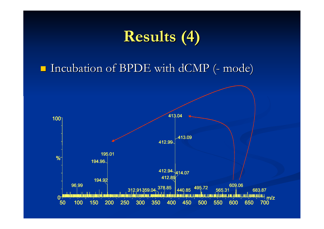# **Results Results (4)**

 $\blacksquare$  Incubation of BPDE with dCMP (- mode)

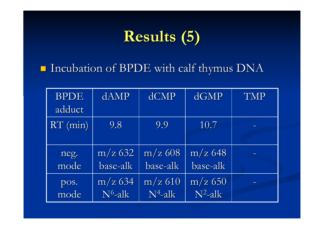# **Results Results (5)**

 $\blacksquare$  Incubation of BPDE with calf thymus DNA

| <b>BPDE</b><br>adduct | dAMP       | dCMP       | dGMP       | <b>TMP</b> |
|-----------------------|------------|------------|------------|------------|
| $RT$ (min)            | 9.8        | 9.9        | 10.7       |            |
| neg.                  | $m/z$ 632  | $m/z$ 608  | $m/z$ 648  |            |
| mode                  | base-alk   | base-alk   | base-alk   |            |
| pos.                  | $m/z$ 634  | $m/z$ 610  | $m/z$ 650  |            |
| mode                  | $N^6$ -alk | $N^4$ -alk | $N^2$ -alk |            |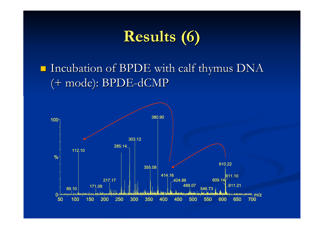# **Results Results (6)**

 $\blacksquare$  Incubation of BPDE with calf thymus DNA (+ mode): BPDE-dCMP